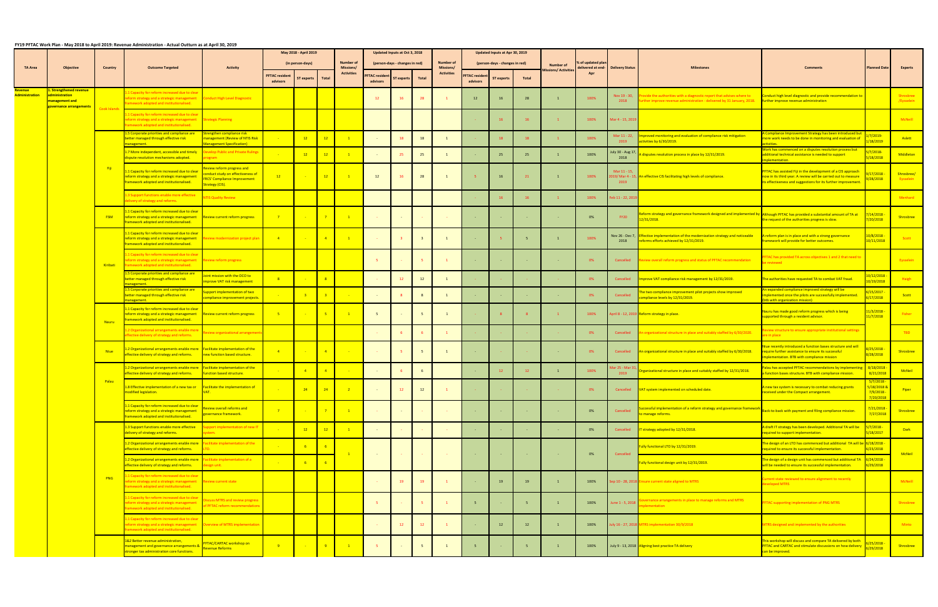## **FY19 PFTAC Work Plan ‐ May 2018 to April 2019: Revenue Administration ‐ Actual Outturn as at April 30, 2019**

|                       |                                                            |                     |                                                                                                                                                                         |                                                                                                                         |                       | May 2018 - April 2019 |                         |                               |                     | Updated Inputs at Oct 3, 2018  |              |                               |                     | Updated Inputs at Apr 30, 2019 |                 |                            |                                                    |                                     |                                                                                                                                                                                      |                                                                                                                                                                                              |                                         |                         |
|-----------------------|------------------------------------------------------------|---------------------|-------------------------------------------------------------------------------------------------------------------------------------------------------------------------|-------------------------------------------------------------------------------------------------------------------------|-----------------------|-----------------------|-------------------------|-------------------------------|---------------------|--------------------------------|--------------|-------------------------------|---------------------|--------------------------------|-----------------|----------------------------|----------------------------------------------------|-------------------------------------|--------------------------------------------------------------------------------------------------------------------------------------------------------------------------------------|----------------------------------------------------------------------------------------------------------------------------------------------------------------------------------------------|-----------------------------------------|-------------------------|
| <b>TA Area</b>        | Objective                                                  | Country             | <b>Outcome Targeted</b>                                                                                                                                                 | <b>Activity</b>                                                                                                         |                       | (in person-days)      |                         | <b>Number of</b><br>Missions/ |                     | (person-days - changes in red) |              | <b>Number of</b><br>Missions/ |                     | (person-days - changes in red) |                 | <b>Number of</b>           | $\mathfrak s$ of updated plar<br>lelivered at end- | <b>Delivery Status</b>              |                                                                                                                                                                                      |                                                                                                                                                                                              |                                         | <b>Experts</b>          |
|                       |                                                            |                     |                                                                                                                                                                         |                                                                                                                         | <b>PFTAC resident</b> | <b>ST experts</b>     | Total                   | <b>Activities</b>             | <b>FTAC residen</b> | T experts                      | <b>Total</b> | <b>Activities</b>             | <b>FTAC residen</b> | <b>ST experts</b>              | <b>Total</b>    | <b>Nissions/ Activitie</b> | Apr                                                |                                     |                                                                                                                                                                                      |                                                                                                                                                                                              | <b>Planned Date</b>                     |                         |
| <b>Revenue</b>        | 1. Strengthened revenue                                    |                     |                                                                                                                                                                         |                                                                                                                         | advisors              |                       |                         |                               | advisors            |                                |              |                               | advisors            |                                |                 |                            |                                                    |                                     |                                                                                                                                                                                      |                                                                                                                                                                                              |                                         |                         |
| <b>Administration</b> | administration<br>management and<br>overnance arrangements | Cook Islands        | 1 Capacity for reform increased due to clear<br>eform strategy and a strategic management Conduct High Level Diagnostic<br>amework adopted and institutionalised.       |                                                                                                                         |                       |                       |                         |                               | 12                  | 16                             |              |                               | 12                  | 16                             | 28              |                            | 100%                                               | Nov 19 - 30,<br>2018                | ovide the authorities with a diagnostic report that advises where to<br>rther improve revenue administration - delivered by 31 January, 2018. Further improve revenue administration | Conduct high level diagnostic and provide recommendation to                                                                                                                                  |                                         | Shrosbree<br>/Eysselein |
|                       |                                                            |                     | 1 Capacity for reform increased due to clear<br>eform strategy and a strategic management Strategic Planning<br>amework adopted and institutionalised.                  |                                                                                                                         |                       |                       |                         |                               |                     |                                |              |                               |                     | 16                             | 16              |                            | 100%                                               | Aar 4 - 15, 201!                    |                                                                                                                                                                                      |                                                                                                                                                                                              |                                         | McNeill                 |
|                       |                                                            |                     | .5 Corporate priorities and compliance are<br>better managed through effective risk<br>anagement.                                                                       | Strengthen compliance risk<br>management (Review of NTIS Risk<br><b>fanagement Specification)</b>                       |                       | 12                    | 12                      |                               |                     | 18                             | 18           |                               |                     | 18                             | 18              |                            | 100%                                               | 2019                                | Mar 11 - 22, Improved monitoring and evaluation of compliance risk mitigation<br>activities by 6/30/2019.                                                                            | Compliance Improvement Strategy has been introduced but<br>ore work needs to be done in monitoring and evaluation of                                                                         | 8/2019                                  | Aslett                  |
|                       |                                                            |                     | .7 More independent, accessible and timely<br>lispute resolution mechanisms adopted.                                                                                    | <b>Develop Public and Private Rulings</b>                                                                               |                       | 12                    | 12                      |                               |                     | 25                             | 25           |                               |                     | 25                             | 25              |                            | 100%                                               | uly 30 - Aug 17,<br>2018            | disputes resolution process in place by 12/31/2019.                                                                                                                                  | ork has commenced on a disputes resolution process but<br>dditional technical assistance is needed to support<br>nlementation.                                                               | 18/2018                                 | Middleton               |
|                       |                                                            | <mark>– Fiji</mark> | 1 Capacity for reform increased due to clea<br>reform strategy and a strategic management<br><b>Framework adopted and institutionalised.</b>                            | eview reform progress and<br>onduct study on effectiveness of<br><b>FRCS' Compliance Improvement</b><br>Strategy (CIS). | 12                    |                       | 12                      |                               | 12                  | 16                             | 28           |                               |                     |                                | 21              |                            | 100%                                               | Mar 11 - 15,<br>2019                | 119/ Mar 4 - 15, An effective CIS facilitating high levels of compliance.                                                                                                            | FTAC has assisted Fiji in the development of a CIS approach<br>ow in its third year. A review will be carried out to measure<br>s effectiveness and suggestions for its further improvement. | 7/2018<br>28/2018                       | Shrosbree/<br>Eysselein |
|                       |                                                            |                     | 3 Support functions enable more effective<br>elivery of strategy and reforms.                                                                                           | <b>TIS Quality Review</b>                                                                                               |                       |                       |                         |                               |                     |                                |              |                               |                     |                                | 16              |                            | 100%                                               | eb 11 - 22, 20 <mark>1</mark>       |                                                                                                                                                                                      |                                                                                                                                                                                              |                                         | Menhard                 |
|                       |                                                            | <b>FSM</b>          | .1 Capacity for reform increased due to clear<br>reform strategy and a strategic management Review current reform progress<br>ramework adopted and institutionalised.   |                                                                                                                         |                       |                       | $\overline{7}$          |                               |                     |                                |              |                               |                     |                                |                 |                            | 0%                                                 | <b>FY20</b>                         | eform strategy and governance framework designed and implemented by <b>Although PFTAC has provided a substantial amount of TA at</b><br>2/31/2018.                                   | he request of the authorities progress is slow.                                                                                                                                              | /14/2018<br>20/2018                     | Shrosbree               |
|                       |                                                            |                     | 1 Capacity for reform increased due to clear<br>reform strategy and a strategic management<br>framework adopted and institutionalised.                                  | Review modernization project plan                                                                                       | $-4$                  |                       | $-4$                    |                               |                     |                                |              |                               |                     |                                | 5 <sup>5</sup>  |                            | 100%                                               | 2018                                | Nov 26 - Dec 7, Effective implementation of the modernization strategy and noticeable<br>reforms efforts achieved by 12/31/2019.                                                     | I reform plan is in place and with a strong governance<br>ramework will provide for better outcomes.                                                                                         | 0/8/2018 ·<br>0/11/2018                 | <b>Scott</b>            |
|                       |                                                            | Kiribati            | .1 Capacity for reform increased due to clea<br>form strategy and a strategic management Review reform progress<br><b>Framework adopted and institutionalised.</b>      |                                                                                                                         |                       |                       |                         |                               |                     |                                |              |                               |                     |                                | $\sim 10^{-1}$  |                            | 0%                                                 | Cancelled                           | view overall reform progress and status of PFTAC recommendation                                                                                                                      | FTAC has provided TA across objectives 1 and 2 that need to<br>reviewed                                                                                                                      |                                         | Eysselein               |
|                       |                                                            |                     | 5 Corporate priorities and compliance are<br>etter managed through effective risk<br>anagement.                                                                         | int mission with the OCO to<br>nprove VAT risk management                                                               |                       |                       | 8                       |                               |                     | 12 <sup>2</sup>                | 12           |                               |                     |                                |                 |                            | 0%                                                 | Cancelled                           | nprove VAT compliance risk management by 12/31/2019.                                                                                                                                 | ne authorities have requested TA to combat VAT fraud.                                                                                                                                        | /12/2018<br>/19/2018                    | Haigh                   |
|                       |                                                            |                     | 5 Corporate priorities and compliance are<br>better managed through effective risk<br>anagement                                                                         | upport implementation of two<br>ompliance improvement projects.                                                         |                       |                       | $\overline{\mathbf{3}}$ |                               |                     |                                |              |                               |                     |                                |                 |                            | 0%                                                 | Cancelled                           | he two compliance improvement pilot projects show improved<br>mpliance levels by 12/31/2019.                                                                                         | n expanded compliance improved strategy will be<br>plemented once the pilots are successfully implemented.<br>tb with organization mission)                                                  | 15/2017 ·<br>7/2018                     | Scott                   |
|                       |                                                            | Nauru               | .1 Capacity for reform increased due to clear<br>eform strategy and a strategic management<br><b>Framework adopted and institutionalised.</b>                           | <b>Review current reform progress</b>                                                                                   |                       |                       | -5                      |                               |                     |                                |              | $\mathbf{1}$                  |                     |                                | 8 <sup>2</sup>  |                            | 100%                                               |                                     | pril 8 - 12, 2019 Reform strategy in place.                                                                                                                                          | lauru has made good reform progress which is being<br>upported through a resident advisor.                                                                                                   | 1/3/2018<br>1/7/2018                    | Fisher                  |
|                       |                                                            |                     | 2 Organizational arrangements enable more<br>fective delivery of strategy and reforms.                                                                                  | Review organizational arrangemer                                                                                        |                       |                       |                         |                               |                     |                                |              |                               |                     |                                |                 |                            | 0%                                                 | Cancelled                           | organizational structure in place and suitably staffed by 6/30/2020.                                                                                                                 | view structure to ensure appropriate institutional settings<br>e in place                                                                                                                    |                                         | TBD <b>T</b>            |
|                       |                                                            | <b>Niue</b>         | 2 Organizational arrangements enable more <b>Facilitate implementation of the</b><br>ffective delivery of strategy and reforms.                                         | new function based structure.                                                                                           |                       |                       | $\overline{4}$          |                               |                     |                                |              | 1                             |                     |                                |                 |                            | 0%                                                 | Cancelled                           | n organizational structure in place and suitably staffed by 6/30/2018.                                                                                                               | iue recently introduced a function bases structure and will<br>equire further assistance to ensure its successful<br>mplementation. BTB with compliance mission                              | 25/201:<br>/28/2018                     | Shrosbree               |
|                       |                                                            |                     | .2 Organizational arrangements enable more<br>ffective delivery of strategy and reforms.                                                                                | <b>Facilitate implementation of the</b><br>function based structure.                                                    |                       |                       | $\overline{4}$          |                               |                     |                                |              |                               |                     | <sup>12</sup>                  | 12              |                            | 100%                                               | lar 25 - Mar <mark>3</mark><br>2019 | rganizational structure in place and suitably staffed by 12/31/2018.                                                                                                                 | alau has accepted PFTAC recommendations by implementing<br>function bases structure. BTB with compliance mission.                                                                            | 8/18/2018<br>8/21/2018                  | <b>McNeil</b>           |
|                       |                                                            | Palau               | 8 Effective implementation of a new tax or Facilitate the implementation of<br>dified legislation.                                                                      |                                                                                                                         |                       | 24                    | 24                      |                               |                     | 12                             | 12           |                               |                     |                                |                 |                            | 0%                                                 |                                     | Cancelled VAT system implemented on scheduled date                                                                                                                                   | A new tax system is necessary to combat reducing grants<br>eceived under the Compact arrangement.                                                                                            | <u>17/2018</u><br>18/20188<br>7/20/2018 | Piper                   |
|                       |                                                            |                     | .1 Capacity for reform increased due to clea<br>reform strategy and a strategic management<br>framework adopted and institutionalised.                                  | eview overall reforms and<br>wernance framework.                                                                        |                       |                       | $\overline{7}$          | $\overline{1}$                |                     | $\sim 10^{-1}$                 |              | <b>College</b>                |                     |                                | $\sim 100$      |                            | 0%                                                 | Cancelled                           | accessful implementation of a reform strategy and governance framework<br>manage reforms.                                                                                            | Back-to-back with payment and filing compliance mission                                                                                                                                      | /21/2018<br>7/27/2018                   | Shrosbree               |
|                       |                                                            |                     | 3 Support functions enable more effective<br>delivery of strategy and reforms.                                                                                          | port implementation of new IT                                                                                           |                       | 12                    | $\frac{12}{ }$          |                               |                     |                                |              |                               |                     |                                | <b>Car</b>      |                            | 0%                                                 | Cancelled                           | T strategy adopted by 12/31/2018.                                                                                                                                                    | draft IT strategy has been developed. Additional TA will be<br>equired to support implementation.                                                                                            | $7/2018 -$<br>/18/2017                  | <b>Dark</b>             |
|                       |                                                            |                     | 1.2 Organizational arrangements enable more<br>effective delivery of strategy and reforms.                                                                              | <b>Facilitate implementation of the</b>                                                                                 |                       |                       | $-6$                    | $-1$                          | $\sim 100$          |                                |              | <b>Contact</b>                |                     |                                | <b>Contract</b> |                            | 0%                                                 | Cancelled                           | ully functional LTO by 12/31/2019.                                                                                                                                                   | he design of an LTO has commenced but additional TA will be 6/18/2018 -<br>equired to ensure its successful implementation.                                                                  | 23/2018                                 | McNeil                  |
|                       |                                                            |                     | 2 Organizational arrangements enable more Facilitate implementation of a<br>ffective delivery of strategy and reforms.                                                  | esign unit.                                                                                                             |                       |                       | 6                       |                               |                     |                                |              |                               |                     |                                |                 |                            |                                                    |                                     | ully functional design unit by 12/31/2019.                                                                                                                                           | he design of a design unit has commenced but additional TA 6/24/2018 -<br>vill be needed to ensure its successful implementation.                                                            | 29/2018                                 |                         |
|                       |                                                            | <b>PNG</b>          | .1 Capacity for reform increased due to clear<br>eform strategy and a strategic management Review current state<br>ramework adopted and institutionalised.              |                                                                                                                         |                       |                       |                         |                               |                     | 19                             | 19           |                               |                     | 19                             | 19              |                            | 100%                                               |                                     | ep 10 - 28, 2018 Ensure current state aligned to MTRS                                                                                                                                | urrent state reviewed to ensure alignment to recently<br>eveloped MTRS                                                                                                                       |                                         | McNeill                 |
|                       |                                                            |                     | 1 Capacity for reform increased due to clear<br>eform strategy and a strategic management<br><b>Framework adopted and institutionalised.</b>                            | scuss MTRS and review progress<br>of PFTAC reform recommenda                                                            |                       |                       |                         |                               |                     |                                |              |                               |                     |                                | 5 <sup>5</sup>  |                            | 100%                                               | lune 1 - 5, 2018                    | overnance arrangements in place to manage reforms and MTRS<br>plementation                                                                                                           | FTAC supporting implementation of PNG MTRS                                                                                                                                                   |                                         | Shrosbree               |
|                       |                                                            |                     | 1 Capacity for reform increased due to clear<br>eform strategy and a strategic management    Noverview of MTRS implementation<br>amework adopted and institutionalised. |                                                                                                                         |                       |                       |                         |                               |                     | $12 -$                         | 12           |                               |                     | 12                             | 12              |                            | 100%                                               |                                     | uly 16 - 27, 2018 MTRS implementation 30/9/2018                                                                                                                                      | ATRS designed and implemented by the authorities                                                                                                                                             |                                         | Minto                   |
|                       |                                                            |                     | 1&2 Better revenue administration,<br>management and governance arrangements &<br>tronger tax administration core functions.                                            | <b>PFTAC/CARTAC workshop on</b><br><b>Revenue Reforms</b>                                                               |                       | <b>State State</b>    | $-9$                    |                               |                     | $\sim 100$                     |              |                               |                     |                                | 5 <sup>5</sup>  |                            | 100%                                               |                                     | July 9 - 13, 2018 Aligning best practice TA delivery                                                                                                                                 | his workshop will discuss and compare TA delivered by both<br>FTAC and CARTAC and stimulate discussions on how delivery<br>an be improved.                                                   | 29/2018                                 | Shrosbree               |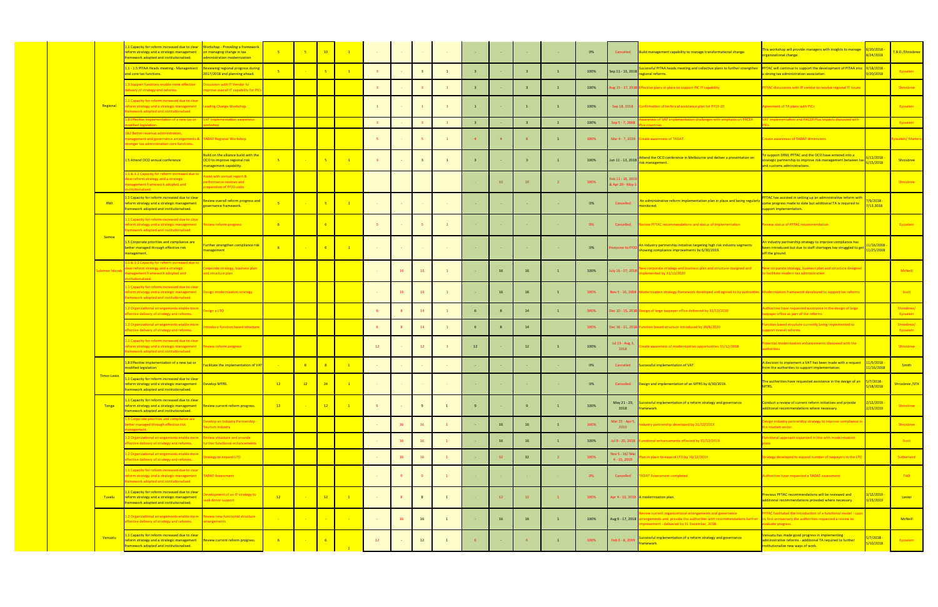|                    | 1 Capacity for reform increased due to clear<br>eform strategy and a strategic management<br>ramework adopted and institutionalised.                                 | Workshop - Providing a framework<br>on managing change in tax<br>ministration modernization    | $-5$  | $-5$                | 10               | $\mathbf{1}$       |                         |    |                |              |                         |    |                         |                 | 0%   | Cancelled                        | Build management capability to manage transformational change.                                                                                                                                      | is workshop will provide managers with insights to manage<br>rganizational change.                                                                      | 8/20/2018<br>8/24/2018   | B.D /Shrosbree          |
|--------------------|----------------------------------------------------------------------------------------------------------------------------------------------------------------------|------------------------------------------------------------------------------------------------|-------|---------------------|------------------|--------------------|-------------------------|----|----------------|--------------|-------------------------|----|-------------------------|-----------------|------|----------------------------------|-----------------------------------------------------------------------------------------------------------------------------------------------------------------------------------------------------|---------------------------------------------------------------------------------------------------------------------------------------------------------|--------------------------|-------------------------|
|                    | 1.1 - 1.5 PITAA Heads meeting - Management<br>and core tax functions.                                                                                                | Reviewing regional progress during<br>1017/2018 and planning ahead.                            |       |                     | $-5$             | $\mathbf{1}$       |                         |    |                | <sup>1</sup> |                         |    |                         | $\overline{1}$  | 100% | Sep 11 - 13, 2018                | ccessful PITAA heads meeting and collective plans to further strengthen<br>egional reforms.                                                                                                         | FTAC will continue to support the development of PITAA into 9/18/2018<br>strong tax administration association.                                         | 9/20/2018                | Eysselein               |
|                    | 3 Support functions enable more effective<br>lelivery of strategy and reforms.                                                                                       | scussion with IT Vendor to<br>nprove overall IT capability for PI                              |       |                     |                  |                    |                         |    |                |              | $\overline{\mathbf{3}}$ |    |                         | $\overline{1}$  | 100% |                                  | ug 15 - 17, 2018 Effective plans in place to support PIC IT capability                                                                                                                              | PFTAC discussions with IT vendor to resolve regional IT issues                                                                                          |                          | Shrosbree               |
| Regional           | 1 Capacity for reform increased due to clear<br>eform strategy and a strategic management<br>amework adopted and institutionalised.                                  | eading Change Workshop                                                                         |       |                     |                  |                    |                         |    |                |              | $\overline{1}$          |    |                         | $\mathbf{1}$    | 100% | Sep 18, 2018                     | onfirmation of technical assistance plan for FY19-20                                                                                                                                                | Agreement of TA plans with PICs                                                                                                                         |                          | Eysselein               |
|                    | .8 Effective implementation of a new tax or<br>dified legislation.                                                                                                   | AT Implementation awareness                                                                    |       |                     |                  |                    | $\overline{\mathbf{3}}$ |    |                |              | $\overline{\mathbf{3}}$ |    | $\overline{\mathbf{3}}$ | $\mathbf{1}$    | 100% | Sep 5 - 7, 201                   | reness of VAT implementation challenges with emphasis on PACER                                                                                                                                      | T implementation and PACER Plus impacts discussed with                                                                                                  |                          | Eysselein               |
|                    | &2 Better revenue administration,<br>anagement and governance arrangements & TADAT Regional Workshop<br>ronger tax administration core functions.                    |                                                                                                |       |                     |                  |                    |                         |    |                |              | $\overline{4}$          |    |                         | $\mathbf{1}$    | 100% |                                  | Mar 4 - 7, 2019 Create awareness of TADAT                                                                                                                                                           | reate awareness of TADAT dimensions                                                                                                                     |                          | sselein/ Martei         |
|                    | .5 Attend OCO annual conference                                                                                                                                      | Build on the alliance build with the<br>OCO to improve regional risk<br>nanagement capability. | $-5$  | <b>Simple State</b> | $\frac{1}{5}$    | $\blacksquare$ 1   |                         |    | $\overline{3}$ |              | $\overline{\mathbf{3}}$ |    |                         | $\mathbf{1}$    | 100% | Jun 11 - 13, 2018                | ttend the OCO conference in Melbourne and deliver a presentation or<br>sk management.                                                                                                               | support DRM, PFTAC and the OCO have entered into a<br>ategic partnership to improve risk management between tax<br>nd customs administrations.          | 11/2018<br>6/15/2018     | Shrosbree               |
|                    | 1 & 1.2 Capacity for reform increased due<br>lear reform strategy and a strategic<br>nanagement framework adopted and<br><b>Manifedant</b>                           | sist with annual report &<br>erformance reviews and<br>reparation of FY20 visits               |       |                     |                  |                    |                         |    |                |              |                         |    | 10 <sup>1</sup>         | $\overline{2}$  | 100% | eb 11 - 15, 20<br>& Apr 29 - May |                                                                                                                                                                                                     |                                                                                                                                                         |                          | Shrosbree               |
| RMI                | 1 Capacity for reform increased due to clear<br>eform strategy and a strategic management<br>ramework adopted and institutionalised.                                 | <b>view overall reform progress and</b><br>vernance framework.                                 | $-5$  | $\sim$ $\sim$       | $-5$             | $\blacksquare$     |                         |    |                |              |                         |    |                         |                 | 0%   | Cancelled                        | n administrative reform implementation plan in place and being regularly<br>onitored.                                                                                                               | TAC has assisted in setting up an administrative reform with<br>me progress made to date but additional TA is required to<br>ipport implementation.     | $7/9/2018 -$<br>/13.2018 |                         |
|                    | 1 Capacity for reform increased due to clear<br>eform strategy and a strategic management Review reform progress<br>mework adopted and institutionalised.            |                                                                                                | $-6$  |                     | $-6$             |                    |                         |    |                |              |                         |    |                         |                 | 0%   | Cancelled                        | eview PFTAC recommendations and status of implementation                                                                                                                                            | eview status of PFTAC recommendation                                                                                                                    |                          | Eysselein               |
| Samoa              | .5 Corporate priorities and compliance are<br>better managed through effective risk<br>management.                                                                   | urther strengthen compliance risk<br>anagement                                                 |       | $\sim 100$          | $-6$             | $\blacksquare$ 1   |                         |    |                |              |                         |    |                         |                 | 0%   | tpone to FY2                     | In industry partnership initiative targeting high risk industry segments<br>howing compliance improvements by 6/30/2019.                                                                            | industry partnership strategy to improve compliance has<br>een introduced but due to staff shortages has struggled to get 11/25/2018<br>off the ground. | 1/16/2018                |                         |
|                    | 1 & 1.2 Capacity for reform increased due t<br>lear reform strategy and a strategic<br>nanagement framework adopted and<br>stitutionalised.                          | prporate strategy, business plan<br>and structure plan                                         |       |                     |                  |                    |                         |    | 16             |              |                         | 16 | 16                      | $\mathbf{1}$    | 100% | ly 16 - 27, 2018                 | lew corporate strategy and business plan and structure designed and<br>plemented by 31/12/2020                                                                                                      | ew corporate strategy, business plan and structure designed<br>o facilitate modern tax administration                                                   |                          | McNeill                 |
|                    | 1 Capacity for reform increased due to clear<br>eform strategy and a strategic management<br>amework adopted and institutionalised.                                  | <b>Design modernization strategy</b>                                                           |       |                     |                  |                    |                         |    | 16             |              |                         | 16 | 16                      | $\overline{1}$  | 100% |                                  | Nov 5 - 16, 2018 Modernization strategy framework developed and agreed to by authorities M                                                                                                          | <b>Modernization framework developed to support tax reform:</b>                                                                                         |                          | Scott                   |
|                    | 1.2 Organizational arrangements enable more<br>ffective delivery of strategy and reforms.                                                                            | sign a LTO                                                                                     |       |                     |                  |                    |                         |    | 14             |              | -6                      |    | 14                      | $\mathbf{1}$    | 100% |                                  | ec 10 - 15, 2018 Design of large taxpayer office delivered by 31/12/2019                                                                                                                            | ities have requested assistance in the design of large<br>payer office as part of the reforms                                                           |                          | Shrosbree/<br>Eysselein |
|                    | 1.2 Organizational arrangements enable more<br>ffective delivery of strategy and reforms.                                                                            | roduce function based structure                                                                |       |                     |                  |                    |                         |    | 14             |              | 6                       |    | 14                      |                 | 100% | ec 16 - 21, 2018                 | inction based structure introduced by 20/6/2020                                                                                                                                                     | nction based structure currently being implemented to<br>pport overall reforms                                                                          |                          | Shrosbree/<br>Eysselein |
|                    | 1 Capacity for reform increased due to clea<br>eform strategy and a strategic management<br>amework adopted and institutionalised.                                   | eview reform progress                                                                          |       |                     |                  |                    | 12                      |    | 12             |              | 12                      |    | 12                      | $\overline{1}$  | 100% | Jul 23 - Aug 3<br>2018           | eate awareness of modernization opportunities 31/12/2018                                                                                                                                            | tential modernization enhancements discussed with the<br><i><b>uthorities</b></i>                                                                       |                          | Shrosbree               |
|                    | .8 Effective implementation of a new tax or<br>nodified legislation.                                                                                                 | acilitate the implementation of VAT                                                            |       | $-8$                | $-8$             |                    |                         |    |                |              |                         |    |                         |                 | 0%   | Cancelled                        | uccessful implementation of VAT.                                                                                                                                                                    | decision to implement a VAT has been made with a reques<br>om the authorities to support implementation.                                                | 11/5/2018<br>11/16/2018  | <b>Smith</b>            |
| <b>Timor-Leste</b> | .1 Capacity for reform increased due to clear<br>eform strategy and a strategic management   Develop MTRS.<br>amework adopted and institutionalised.                 |                                                                                                | 12    | 12                  | 24               |                    |                         |    |                |              |                         |    |                         |                 | 0%   |                                  | Cancelled Design and implementation of an MTRS by 6/30/2019.                                                                                                                                        | The authorities have requested assistance in the design of an 5/7/2018<br>MTRS.                                                                         | 5/18/2018                | Shrosbree /STX          |
| Tonga              | .1 Capacity for reform increased due to clear<br>eform strategy and a strategic management<br>ramework adopted and institutionalised.                                | Review current reform progress.                                                                | $-12$ | $\sim$ $\sim$       | 12               | $\blacksquare$ 1   | -9                      |    | 9              |              | 9                       |    |                         | $\overline{1}$  | 100% | May 21 - 29,<br>2018             | Successful implementation of a reform strategy and governance<br>iramework.                                                                                                                         | onduct a review of current reform initiatives and provide<br>dditional recommendations where necessary.                                                 | 2/12/2019<br>2/23/2019   | Shrosbree               |
|                    | 5 Corporate priorities and compliance are<br>etter managed through effective risk<br>magament                                                                        | velop an Industry Partnership -<br>urism Industry                                              |       |                     |                  |                    |                         | 16 | 16             | $\mathbf{1}$ |                         | 16 | 16                      | $\overline{1}$  | 100% | Aar 25 - Apr 5<br>2019           | dustry partnership developed by 31/12/2019                                                                                                                                                          | sign industry partnership strategy to improve compliance i<br>e tourism sector                                                                          |                          | Shrosbree               |
|                    | 1.2 Organizational arrangements enable more<br>effective delivery of strategy and reforms.                                                                           | eview structure and provide<br><b>Inther functional enhancements</b>                           |       |                     |                  |                    |                         |    | 16             |              |                         | 16 | 16                      | $\mathbf{1}$    | 100% | Jul 9 - 20, 2018                 | unctional enhancements effected by 31/12/2019                                                                                                                                                       | nctional approach expanded in line with modernization                                                                                                   |                          | Scott                   |
|                    | 1.2 Organizational arrangements enable more<br>effective delivery of strategy and reforms.                                                                           | rategy to expand LTO                                                                           |       |                     |                  |                    |                         | 16 | 16             | $\mathbf{1}$ |                         |    | 32                      | $\overline{2}$  | 100% | lov 5 - 16/ Ma<br>$4 - 15, 2019$ | an in place to expand LTO by 31/12/2019                                                                                                                                                             | rategy developed to expand number of taxpayers in the LTO                                                                                               |                          | Sutherland              |
|                    | 1 Capacity for reform increased due to clear<br>reform strategy and a strategic management TADAT Assessment<br>amework adopted and institutionalised.                |                                                                                                |       |                     |                  |                    |                         |    |                | $\mathbf{1}$ |                         |    |                         |                 | 0%   | Cancelled                        | <b>ADAT Assessment completed</b>                                                                                                                                                                    | uthorities have requested a TADAT assessment                                                                                                            |                          | FAD <sup>1</sup>        |
| Tuvalu             | .1 Capacity for reform increased due to clear<br>eform strategy and a strategic management<br>ramework adopted and institutionalised.                                | velopment of an IT strategy to<br>ek donor support                                             | 12    | <b>College</b>      | $\frac{12}{ }$   | $\blacksquare$     |                         |    | 8              | $\mathbf{1}$ |                         | 12 | 12                      | $\vert 1 \vert$ | 100% |                                  | Apr 4 - 13, 2019 A modernization plan.                                                                                                                                                              | revious PFTAC recommendations will be reviewed and<br>dditional recommendations provided where necessary.                                               | 3/12/2019<br>3/23/2019   | Lester                  |
|                    | L.2 Organizational arrangements enable more Review new functional structure<br>effective delivery of strategy and reforms.                                           | <b>Irrangements</b>                                                                            |       | $\sim 100$          | <b>Contract</b>  | <b>State State</b> |                         |    | 16             |              |                         | 16 | 16                      | $\mathbf{1}$    | 100% |                                  | view current organizational arrangements and governance<br>Aug 6 - 17, 2018 arrangements and provide the authorities with recommendations further it<br>provement - delivered by 31 December, 2018. | FTAC facilitated the introduction of a functional model - up<br>is first anniversary the authorities requested a review to<br>valuate progress.         |                          | McNeill                 |
| Vanuatu            | 1 Capacity for reform increased due to clear.<br>eform strategy and a strategic management Review current reform progress.<br>amework adopted and institutionalised. |                                                                                                | $-6$  | $\sim 10^{11}$      | $\blacksquare$ 6 |                    | 12                      |    | 12             | $\mathbf{1}$ |                         |    |                         | $\mathbf{1}$    | 100% | Feb 3 - 8, 2019                  | uccessful implementation of a reform strategy and governance<br>amework.                                                                                                                            | nuatu has made good progress in implementing<br>Iministrative reforms - additional TA required to further<br>stitutionalize new ways of work.           | $5/7/2018 -$<br>10/2018  | Eysselein               |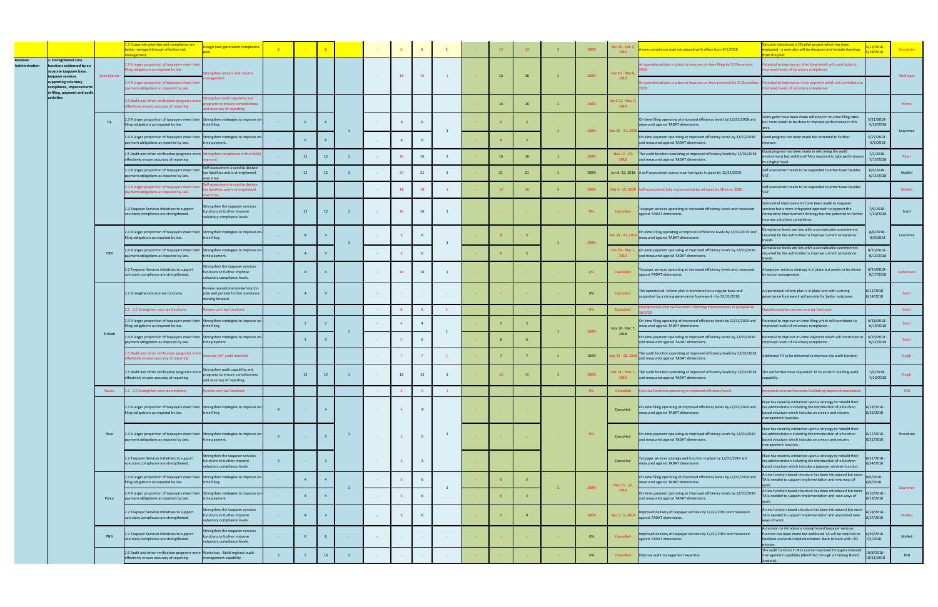|                      |                                                                                                 |              | Corporate priorities and compliance are<br>etter managed through effective risk                                                 | sign new generation compliance                                                             |                 |                 | 6              |                  |                | 6                       |              | 12 | 12 |                | 100% | an 26 - Feb 3<br>2019   | new compliance plan introduced with effect from 9/1/2018.                                                                      | nuatu introduced a CIS pilot project which has been<br>valuated - a new plan will be designed and include learnings<br>om the pilot.                                                                        | 18/2018                    | Shrosbree  |
|----------------------|-------------------------------------------------------------------------------------------------|--------------|---------------------------------------------------------------------------------------------------------------------------------|--------------------------------------------------------------------------------------------|-----------------|-----------------|----------------|------------------|----------------|-------------------------|--------------|----|----|----------------|------|-------------------------|--------------------------------------------------------------------------------------------------------------------------------|-------------------------------------------------------------------------------------------------------------------------------------------------------------------------------------------------------------|----------------------------|------------|
| <b>Iministration</b> | <b>Strengthened core</b><br>inctions evidenced by an<br>ccurate taxpayer base,                  |              | 2.3 A larger proportion of taxpayers meet their<br>iling obligations as required by law.                                        | engthen arrears and returns                                                                |                 |                 |                |                  | 16             |                         |              | 16 | 16 | $\overline{1}$ | 100% | eb 25 - Mar 8           | n operational plan in place to improve on-time filing by 31 December,                                                          | tential to improve on time filing which will contribute to<br>proved levels of voluntary compliance                                                                                                         |                            |            |
|                      | xpayer services<br>pporting voluntary<br>mpliance, improvements<br>in filing, payment and audit | Cook Islands | 2.4 A larger proportion of taxpayers meet their<br>payment obligations as required by law.                                      | anagement                                                                                  |                 |                 |                |                  |                | 16                      | $\mathbf{1}$ |    |    |                |      | 2019                    | An operational plan in place to improve on-time payment by 31 December                                                         | otential to improve on time payment which will contribute to<br>nproved levels of voluntary compliance                                                                                                      |                            | McGregor   |
|                      | activities                                                                                      |              | .5. Audit and other verification programs m<br>fectively ensure accuracy of reporting                                           | engthen audit capability and<br>ograms to ensure completeness<br>nd accuracy of reporting. |                 |                 |                |                  |                |                         |              | 16 | 16 | $\overline{1}$ | 100% | pril 22 - May 3<br>2019 |                                                                                                                                |                                                                                                                                                                                                             |                            | Home       |
|                      |                                                                                                 | Fiji         | 2.3 A larger proportion of taxpayers meet their<br>iling obligations as required by law.                                        | Strengthen strategies to improve on-<br>time filing.                                       |                 |                 |                |                  |                |                         |              |    |    |                | 100% | Dec 10 - 21, 201        | On-time filing operating at improved efficiency levels by 12/31/2018 and<br>measured against TADAT dimensions.                 | me gains have been made reflected in on-time filing rates<br>but more needs to be done to improve performance in this                                                                                       | 5/21/2018<br>5/26/2018     |            |
|                      |                                                                                                 |              | 2.4 A larger proportion of taxpayers meet their Strengthen strategies to improve on-<br>payment obligations as required by law. | ne payment.                                                                                |                 |                 |                |                  |                |                         |              |    |    |                |      |                         | On-time payment operating at improved efficiency levels by 31/12/2018<br>and measured against TADAT dimensions.                | Good progress has been made but potential to further                                                                                                                                                        | $5/27/2018 -$<br>6/1/2018  | Lawrence   |
|                      |                                                                                                 |              | 2.5. Audit and other verification programs more<br>effectively ensure accuracy of reporting                                     | Strengthen compliance in the HNW<br><b>ement</b>                                           |                 | 12              | 12             |                  | 16             | 16                      |              | 16 | 16 | $\overline{1}$ | 100% | Nov 12 - 23,<br>2018    | The audit function operating at improved efficiency levels by 12/31/2018<br>and measured against TADAT dimensions.             | ood progress has been made in reforming the audit<br>vironment but additional TA is required to take performanc<br>o a higher level.                                                                        | 7/2/2018<br>7/13/2018      | Piper      |
|                      |                                                                                                 |              | 2.3 A larger proportion of taxpayers meet th<br>ayment obligations as required by law.                                          | elf-assessment is used to declare<br>x liabilities and is strengthened                     |                 | 12              | 12             |                  | 21             | 21                      |              | 21 | 21 | $\mathbf{1}$   | 100% |                         | Jun 6-22, 2018 A self-assessment across main tax types in place by 12/31/2019.                                                 | elf assessment needs to be expanded to other taxes besides                                                                                                                                                  | 6/4/2018<br>6/15/2018      | McNeil     |
|                      |                                                                                                 |              | 2.3 A larger proportion of taxpayers meet the<br>ment obligations as required by law.                                           | If-assessment is used to declare<br>ax liabilities and is strengthened                     |                 |                 |                |                  | 18             | 18                      |              |    |    | $\mathbf{1}$   | 100% |                         | Feb 4 - 15, 2019 Self-assessment fully implemented for all taxes by 30 June, 2020.                                             | elf assessment needs to be expanded to other taxes besides                                                                                                                                                  |                            | McNeil     |
|                      |                                                                                                 |              | 2.2 Taxpayer Services initiatives to support<br>voluntary compliance are strengthened.                                          | engthen the taxpayer services<br>nctions to further improve<br>pluntary compliance levels. |                 | 12              | 12             | $\sim$           | 16             | 16                      |              |    |    |                | 0%   | Cancelled               | Taxpayer services operating at increased efficiency levels and measured<br>against TADAT dimensions.                           | bstantial improvements have been made to taxpayer<br>ervices but a more integrated approach to support the<br>Compliance Improvement Strategy has the potential to further<br>nprove voluntary compliance.  | 7/9/2018<br>7/20/2018      | Scott      |
|                      |                                                                                                 |              | 2.3 A larger proportion of taxpayers meet their Strengthen strategies to improve on<br>filing obligations as required by law.   | ime filing.                                                                                |                 | $\overline{4}$  |                |                  |                |                         |              |    |    |                | 100% | eb 18 - 23, 201         | On-time Filing operating at improved efficiency levels by 12/31/2019 and<br>measured against TADAT dimensions.                 | mpliance levels are low with a considerable commitment<br>equired by the authorities to improve current compliance                                                                                          | 8/6/2018<br>8/9/2018       | Lawrence   |
|                      |                                                                                                 | FSM          | 4 A larger proportion of taxpayers meet their<br>ayment obligations as required by law.                                         | Strengthen strategies to improve on-<br>ne payment.                                        |                 |                 |                | $\sim$           |                | 6                       |              |    |    |                |      | eb 24 - Mar 1<br>2019   | On-time payment operating at improved efficiency levels by 12/31/2019<br>and measured against TADAT dimensions.                | mpliance levels are low with a considerable commitment<br>quired by the authorities to improve current compliance                                                                                           | $3/10/2018 -$<br>8/13/2018 |            |
|                      |                                                                                                 |              | 2.2 Taxpayer Services initiatives to support<br>oluntary compliance are strengthened.                                           | engthen the taxpayer services<br>nctions to further improve<br>oluntary compliance levels. |                 |                 |                |                  |                | 16                      |              |    |    |                | - 0% | Cancelled               | Taxpayer services operating at increased efficiency levels and measured<br>against TADAT dimensions.                           | A taxpayer services strategy is in place but needs to be driven<br>by senior management.                                                                                                                    | 8/14/2018<br>8/17/2018     | Sutherland |
|                      |                                                                                                 |              | 2.1 Strengthened core tax functions.                                                                                            | eview operational modernization<br>blan and provide further assistance<br>oving forward.   | <b>Contract</b> | 4               |                | $\sim 10^{-11}$  |                |                         |              |    |    |                | 0%   | Cancelled               | The operational reform plan is monitored on a regular basis and<br>supported by a strong governance framework - by 12/31/2018. | A operational reform plan is in place and with a strong<br>overnance framework will provide for better outcomes.                                                                                            | /11/2018-<br>/14/2018      | Scott      |
|                      |                                                                                                 |              | 2.1 - 2.5 Strengthen core tax functions                                                                                         | view core tax functions                                                                    |                 |                 |                |                  | 8              |                         |              |    |    |                | - 0% | Cancelled               | engthened core tax functions reflecting improvements in compliance                                                             | erational plans across core tax functions                                                                                                                                                                   |                            | Scott      |
|                      |                                                                                                 |              | 2.3 A larger proportion of taxpayers meet their Strengthen strategies to improve on-<br>filing obligations as required by law.  | ne filing.                                                                                 |                 |                 |                |                  |                |                         |              |    |    |                | 100% | Nov 26 - Dec 7          | On-time filing operating at improved efficiency levels by 12/31/2019 and<br>measured against TADAT dimensions.                 | otential to improve on-time filing which will contribute to<br>nproved levels of voluntary compliance.                                                                                                      | 6/18/2018<br>6/19/2018     | Scott      |
|                      |                                                                                                 | Kiribati     | 4 A larger proportion of taxpayers meet their Strengthen strategies to improve or<br>ayment obligations as required by law.     | ne payment.                                                                                |                 |                 |                |                  |                |                         |              |    |    |                |      | 2018                    | On-time payment operating at improved efficiency levels by 12/31/2019<br>and measured against TADAT dimensions.                | otential to improve on-time Payment which will contribute to<br>mproved levels of voluntary compliance.                                                                                                     | $6/20/2018 -$<br>6/22/2018 | Scott      |
|                      |                                                                                                 |              | .5.Audit and other verification programs m<br>ectively ensure accuracy of reporting                                             | prove VAT audit methods                                                                    |                 |                 |                |                  |                |                         |              |    |    |                | 100% | ep 24 - 28, 20          | The audit function operating at improved efficiency levels by 12/31/2018<br>and measured against TADAT dimensions.             | Additional TA to be delivered to improve the audit function                                                                                                                                                 |                            | Haigh      |
|                      |                                                                                                 |              | 2.5. Audit and other verification programs mo<br>effectively ensure accuracy of reporting                                       | ngthen audit capability and<br>ograms to ensure completeness<br>and accuracy of reporting. |                 | 12              | 12             |                  | 12             | 12                      |              |    |    |                | 100% | eb 18 - Mar 1<br>2019   | The audit function operating at improved efficiency levels by 12/31/2018<br>and measured against TADAT dimensions.             | The authorities have requested TA to assist in building audit<br>capability.                                                                                                                                | 7/9/2018<br>7/20/2018      | Haigh      |
|                      |                                                                                                 | Nauru        | 2.1 - 2.5 Strengthen core tax functions                                                                                         | view core tax functions                                                                    |                 |                 |                |                  |                |                         |              |    |    |                |      | Cancelled               | Core tax functions operating at improved efficiency levels                                                                     | proved core tax functions facilitating improved compliance                                                                                                                                                  |                            | <b>TBD</b> |
|                      |                                                                                                 |              | 2.3 A larger proportion of taxpayers meet their Strengthen strategies to improve on-<br>filing obligations as required by law.  | ime filing.                                                                                | $\overline{4}$  | $\sim 10^{-1}$  | $\overline{4}$ | $\sim 10^{-1}$ . | $\overline{4}$ | 4                       |              |    |    |                |      | Cancelled               | On-time filing operating at improved efficiency levels by 12/31/2019 and<br>measured against TADAT dimensions.                 | liue has recently embarked upon a strategy to rebuild their<br>tax administration including the introduction of a function<br>based structure which includes an arrears and returns<br>nanagement function. | $3/13/2018 -$<br>/16/2018  |            |
|                      |                                                                                                 | Niue         | 2.4 A larger proportion of taxpayers meet their Strengthen strategies to improve on-<br>payment obligations as required by law. | me payment.                                                                                |                 |                 | 5              | <b>Contract</b>  |                | 5                       |              |    |    |                | 0%   | Cancelled               | On-time payment operating at improved efficiency levels by 12/31/2019<br>and measured against TADAT dimensions.                | Viue has recently embarked upon a strategy to rebuild their<br>tax administration including the introduction of a function<br>based structure which includes an arrears and returns<br>nanagement function. | 3/17/2018 -<br>3/21/2018   | Shrosbree  |
|                      |                                                                                                 |              | 2.2 Taxpayer Services initiatives to support<br>oluntary compliance are strengthened.                                           | rengthen the taxpayer services<br>nctions to further improve<br>luntary compliance levels. | $\overline{3}$  | <b>Contract</b> | $\overline{3}$ | <b>Contract</b>  |                | $\overline{\mathbf{3}}$ |              |    |    |                |      | Cancelled               | Taxpayer services strategy and function in place by 12/31/2019 and<br>measured against TADAT dimensions.                       | liue has recently embarked upon a strategy to rebuild their<br>ax administration including the introduction of a function<br>ased structure which includes a taxpayer services function.                    | $22/2018 -$<br>24/2018     |            |
|                      |                                                                                                 |              | 2.3 A larger proportion of taxpayers meet their Strengthen strategies to improve on-<br>filing obligations as required by law.  | me filing.                                                                                 |                 | $\Delta$        | $\mathbf{A}$   |                  |                |                         | 1            |    |    |                | 100% | Mar 11 - 22,            | On-time filing operating at improved efficiency levels by 12/31/2019 and<br>measured against TADAT dimensions.                 | A new function based structure has been introduced but more<br>A is needed to support implementation and new ways of                                                                                        | $6/2018 -$<br>9/2018       | Lawrence   |
|                      |                                                                                                 | Palau        | 2.4 A larger proportion of taxpayers meet their Strengthen strategies to improve on<br>payment obligations as required by law.  | me payment.                                                                                |                 | $\overline{4}$  | $\overline{4}$ | $\sim$           |                | 6                       |              |    |    |                |      | 2019                    | On-time payment operating at improved efficiency levels by 12/31/2019<br>and measured against TADAT dimensions.                | A new function based structure has been introduced but more<br>A is needed to support implementation and new ways of                                                                                        | $10/2018 -$<br>/13/2018    |            |
|                      |                                                                                                 |              | 2.2 Taxpayer Services initiatives to support<br>voluntary compliance are strengthened.                                          | engthen the taxpayer services<br>nctions to further improve<br>pluntary compliance levels. |                 | $\overline{4}$  | $\overline{4}$ | $\sim$           |                | 6                       |              |    |    |                | 100% | Apr 1 - 5, 201!         | Improved delivery of taxpayer services by 12/31/2019 and measured<br>against TADAT dimensions.                                 | new function based structure has been introduced but more<br>A is needed to support implementation and associated new<br>ways of work.                                                                      | 14/2018<br>/17/2018        | McNeil     |
|                      |                                                                                                 | PNG          | 2.2 Taxpayer Services initiatives to support<br>oluntary compliance are strengthened.                                           | engthen the taxpayer services<br>nctions to further improve<br>oluntary compliance levels. | $\sim 10^{-1}$  | - 6             |                |                  |                |                         |              |    |    |                | 0%   | Cancelled               | Improved delivery of taxpayer services by 12/31/2019 and measured<br>against TADAT dimensions.                                 | A decision to introduce a strengthened taxpayer services<br>unction has been made but additional TA will be required to<br>facilitate successful implementation. Back-to-back with LTO                      | $5/30/2018 -$<br>/5/2018   | McNeil     |
|                      |                                                                                                 |              | 2.5 Audit and other verification programs more Workshop - Build regional audit<br>effectively ensure accuracy of reporting      | anagement capability.                                                                      |                 |                 | $10-10$        |                  |                |                         |              |    |    |                | 0%   | Cancelled               | Improve audit management expertise.                                                                                            | The audit function in PICs can be improved through enhanced<br>nanagement capability (identified through a Training Needs                                                                                   | $/8/2018 -$<br>/12/2018    | TBD        |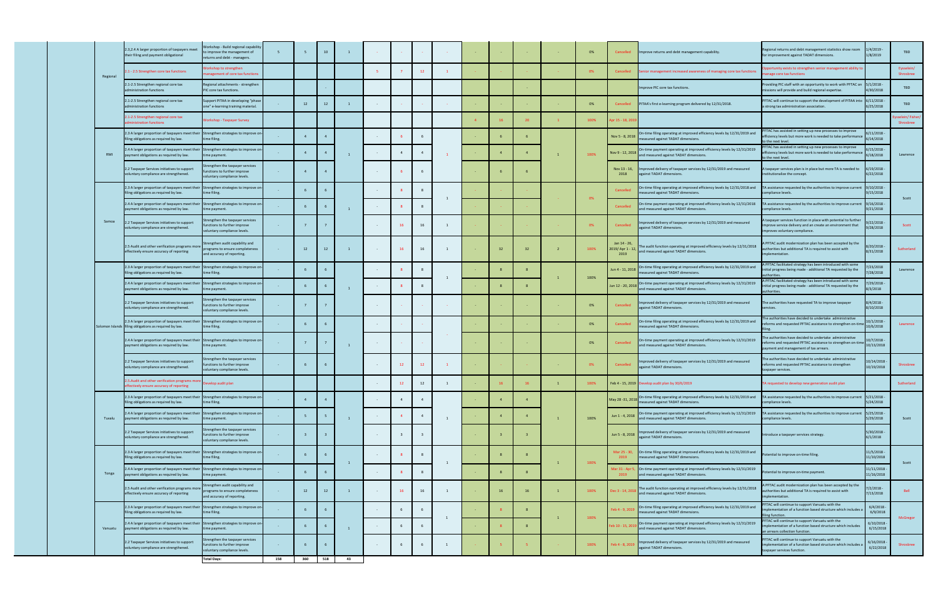|          | 2.3,2.4 A larger proportion of taxpayers meet<br>their filing and payment obligational                                          | <b>Jorkshop - Build regional capability</b><br>improve the management of<br>eturns and debt - managers. | 5 <sup>7</sup>  |     | 10  | $\overline{1}$ |            |                |    | <b>College</b> |    |                | 0%   | Cancelled                               | Improve returns and debt management capability.                                                                                  | Regional returns and debt management statistics show room<br>for improvement against TADAT dimensions.                                                           | 1/4/2019<br>1/8/2019      | <b>TBD</b>                    |
|----------|---------------------------------------------------------------------------------------------------------------------------------|---------------------------------------------------------------------------------------------------------|-----------------|-----|-----|----------------|------------|----------------|----|----------------|----|----------------|------|-----------------------------------------|----------------------------------------------------------------------------------------------------------------------------------|------------------------------------------------------------------------------------------------------------------------------------------------------------------|---------------------------|-------------------------------|
| Regional | 1.1 - 2.5 Strengthen core tax functions                                                                                         | orkshop to strengthen<br>agement of core tax functions                                                  |                 |     |     |                |            |                |    |                |    |                | 0%   | Cancelled                               | Senior management increased awareness of managing core tax functions                                                             | portunity exists to strengthen senior management ability to<br>nage core tax functions                                                                           |                           | Eysselein/<br>Shrosbree       |
|          | 2.1-2.5 Strengthen regional core tax<br>administration functions                                                                | egional attachments - strengthen<br>IC core tax functions.                                              |                 |     |     |                |            |                |    |                |    |                |      |                                         | mprove PIC core tax functions.                                                                                                   | Providing PIC staff with an opportunity to work with PFTAC o<br>issions will provide and build regional expertise.                                               | 5/1/2018<br>/30/2018      | TBD                           |
|          | 2.1-2.5 Strengthen regional core tax<br>administration functions                                                                | upport PITAA in developing "phase<br>one" e-learning training material.                                 |                 | 12  | 12  |                |            |                |    |                |    |                | 0%   | Cancelled                               | PITAA's first e-learning program delivered by 12/31/2018.                                                                        | PFTAC will continue to support the development of PITAA into 6/11/2018<br>a strong tax administration association.                                               | 5/25/2018                 | TBD                           |
|          | 2.1-2.5 Strengthen regional core tax<br>dministration functions                                                                 | orkshop - Taxpayer Survey                                                                               |                 |     |     |                |            |                |    |                |    |                | 100% | pr 15 - 18, 201                         |                                                                                                                                  |                                                                                                                                                                  |                           | /sselein/Fisher/<br>Shrosbree |
|          | 2.3 A larger proportion of taxpayers meet their<br>filing obligations as required by law.                                       | Strengthen strategies to improve on<br>time filing.                                                     |                 |     |     |                |            |                |    |                |    |                |      | Nov 5 - 8, 2018                         | On-time filing operating at improved efficiency levels by 12/31/2019 and<br>neasured against TADAT dimensions.                   | FTAC has assisted in setting up new processes to improve<br>efficiency levels but more work is needed to take performanc<br>to the next level.                   | $/11/2018 -$<br>14/2018   |                               |
| RMI      | 2.4 A larger proportion of taxpayers meet their Strengthen strategies to improve or<br>payment obligations as required by law.  | ime payment.                                                                                            |                 |     |     |                |            |                |    | $\mathbf{1}$   |    |                | 100% | Nov 9 - 12, 2018                        | On-time payment operating at improved efficiency levels by 12/31/2019<br>and measured against TADAT dimensions.                  | PFTAC has assisted in setting up new processes to improve<br>efficiency levels but more work is needed to take performance<br>to the next level.                 | 15/2018<br>/18/2018       | Lawrence                      |
|          | 2.2 Taxpayer Services initiatives to support<br>voluntary compliance are strengthened.                                          | engthen the taxpayer services<br>nctions to further improve<br>pluntary compliance levels.              |                 |     |     |                | $\sim$     |                |    |                |    |                |      | Nov 13 - 16,<br>2018                    | Improved delivery of taxpayer services by 12/31/2019 and measured<br>against TADAT dimensions.                                   | A taxpayer services plan is in place but more TA is needed to<br>institutionalize the concept.                                                                   | 6/19/2018<br>6/22/2018    |                               |
|          | 2.3 A larger proportion of taxpayers meet their Strengthen strategies to improve on-<br>filing obligations as required by law.  | me filing.                                                                                              |                 |     |     |                |            |                |    |                |    |                |      | Cancelled                               | On-time filing operating at improved efficiency levels by 12/31/2018 and<br>easured against TADAT dimensions.                    | TA assistance requested by the authorities to improve current 9/10/2018<br>compliance levels.                                                                    | /15/2018                  |                               |
|          | 2.4 A larger proportion of taxpayers meet their Strengthen strategies to improve on<br>payment obligations as required by law.  | me payment.                                                                                             |                 |     |     |                | $\sim$     |                |    | 1              |    |                | 0%   | Cancelled                               | On-time payment operating at improved efficiency levels by 12/31/2018<br>and measured against TADAT dimensions.                  | TA assistance requested by the authorities to improve current<br>ompliance levels.                                                                               | 9/16/2018<br>/21/2018     | Scott                         |
| Samoa    | 2.2 Taxpayer Services initiatives to support<br>voluntary compliance are strengthened.                                          | engthen the taxpayer services<br>nctions to further improve<br>pluntary compliance levels.              |                 |     |     |                | $\sim$     | 16             |    | $\overline{1}$ |    |                | 0%   | Cancelled                               | mproved delivery of taxpayer services by 12/31/2019 and measured<br>gainst TADAT dimensions.                                     | I taxpayer services function in place with potential to further<br>nprove service delivery and an create an environment that<br>improves voluntary compliance.   | 22/2018<br>28/2018        | Scott                         |
|          | 2.5 Audit and other verification programs mor<br>effectively ensure accuracy of reporting                                       | rengthen audit capability and<br>rograms to ensure completeness<br>and accuracy of reporting.           |                 | 12  | 12  |                | $\sim$     | 16             | 16 | $\overline{1}$ | 32 | 32             | 100% | Jan 14 - 26,<br>019/ Apr 1 - 12<br>2019 | The audit function operating at improved efficiency levels by 12/31/2018<br>and measured against TADAT dimensions.               | PFTAC audit modernization plan has been accepted by the<br>authorities but additional TA is required to assist with<br>implementation.                           | 20/2018<br>8/31/2018      | Sutherland                    |
|          | 2.3 A larger proportion of taxpayers meet their<br>filing obligations as required by law.                                       | Strengthen strategies to improve on-<br>ime filing.                                                     |                 |     |     |                | $\sim$     |                |    |                |    |                |      | un 4 - 11, 2018                         | On-time filing operating at improved efficiency levels by 12/31/2019 and<br>neasured against TADAT dimensions.                   | A PFTAC facilitated strategy has been introduced with some<br>initial progress being made - additional TA requested by the<br>uthorities.                        | 23/2018<br>/28/2018       | Lawrence                      |
|          | 2.4 A larger proportion of taxpayers meet their<br>payment obligations as required by law.                                      | Strengthen strategies to improve on<br>ime payment.                                                     |                 |     |     |                |            |                |    |                |    |                | 100% |                                         | un 12 - 20, 2018 On-time payment operating at improved efficiency levels by 12/31/2019<br>and measured against TADAT dimensions. | PFTAC facilitated strategy has been introduced with some<br>initial progress being made - additional TA requested by the<br>uthorities.                          | 29/2018 -<br>3/3/2018     |                               |
|          | 2.2 Taxpayer Services initiatives to support<br>voluntary compliance are strengthened.                                          | engthen the taxpayer services<br>nctions to further improve<br>luntary compliance levels.               | <b>Contract</b> |     |     |                | $\sim$ $-$ |                |    | <b>College</b> |    |                | 0%   | Cancelled                               | mproved delivery of taxpayer services by 12/31/2019 and measured<br>gainst TADAT dimensions.                                     | The authorities have requested TA to improve taxpayer<br>services.                                                                                               | $8/4/2018 -$<br>8/10/2018 |                               |
|          | 2.3 A larger proportion of taxpayers meet their<br>Solomon Islands filing obligations as required by law.                       | Strengthen strategies to improve on<br>ime filing.                                                      |                 |     |     |                |            |                |    |                |    |                | 0%   | Cancelled                               | On-time filing operating at improved efficiency levels by 12/31/2019 and<br>neasured against TADAT dimensions.                   | The authorities have decided to undertake administrative<br>eforms and requested PFTAC assistance to strengthen on-ti                                            | 0/1/2018<br>0/6/2018      | Lawrence                      |
|          | 2.4 A larger proportion of taxpayers meet their<br>payment obligations as required by law.                                      | Strengthen strategies to improve on-<br>ime payment.                                                    |                 |     |     |                | $\sim$     |                |    |                |    |                | 0%   | Cancelled                               | On-time payment operating at improved efficiency levels by 12/31/2019<br>and measured against TADAT dimensions.                  | The authorities have decided to undertake administrative<br>reforms and requested PFTAC assistance to strengthen on-ti<br>payment and management of tax arrears. | 1/7/2018<br>0/13/2018     |                               |
|          | 2.2 Taxpayer Services initiatives to support<br>voluntary compliance are strengthened.                                          | engthen the taxpayer services<br>nctions to further improve<br>pluntary compliance levels.              |                 |     |     |                |            | 12             | 12 | $\mathbf{1}$   |    |                | 0%   | Cancelled                               | mproved delivery of taxpayer services by 12/31/2019 and measured<br>gainst TADAT dimensions.                                     | he authorities have decided to undertake administrative<br>reforms and requested PFTAC assistance to strengthen<br>taxpayer services.                            | 0/14/2018<br>10/19/2018   | Shrosbree                     |
|          | 2.5. Audit and other verification programs more<br>ectively ensure accuracy of reporting                                        | lop audit plan                                                                                          |                 |     |     |                |            |                | 12 | $\overline{1}$ |    |                | 100% |                                         | Feb 4 - 15, 2019 Develop audit plan by 30/6/2019                                                                                 | requested to develop new generation audit plan                                                                                                                   |                           | Sutherland                    |
|          | 2.3 A larger proportion of taxpayers meet their Strengthen strategies to improve or<br>filing obligations as required by law.   | me filing.                                                                                              |                 |     |     |                |            | $\overline{4}$ |    |                |    |                |      | May 28 -31, 2018                        | On-time filing operating at improved efficiency levels by 12/31/2019 and<br>neasured against TADAT dimensions.                   | TA assistance requested by the authorities to improve curre<br>ompliance levels.                                                                                 | 5/21/2018<br>/24/2018     |                               |
| Tuvalu   | 2.4 A larger proportion of taxpayers meet their Strengthen strategies to improve on<br>payment obligations as required by law.  | me payment.                                                                                             |                 |     |     |                |            |                |    | $\overline{1}$ |    | $\overline{4}$ | 100% | Jun 1 - 4, 2018                         | On-time payment operating at improved efficiency levels by 12/31/2019<br>and measured against TADAT dimensions.                  | TA assistance requested by the authorities to improve current<br>compliance levels.                                                                              | 5/25/2018<br>/29/2018     | Scott                         |
|          | 2.2 Taxpayer Services initiatives to support<br>voluntary compliance are strengthened.                                          | engthen the taxpayer services<br>nctions to further improve<br>luntary compliance levels.               |                 |     |     |                | $\sim$ $-$ |                |    |                |    |                |      | Jun 5 - 8, 2018                         | Improved delivery of taxpayer services by 12/31/2019 and measured<br>gainst TADAT dimensions.                                    | ntroduce a taxpayer services strategy.                                                                                                                           | 5/30/2018<br>6/1/2018     |                               |
|          | 2.3 A larger proportion of taxpayers meet their Strengthen strategies to improve on<br>filing obligations as required by law.   | me filing.                                                                                              |                 |     |     |                | $\sim$     |                |    | 1              |    |                | 100% | 2019                                    | Mar 25 - 30, On-time filing operating at improved efficiency levels by 12/31/2019 and<br>measured against TADAT dimensions.      | Potential to improve on-time filing.                                                                                                                             | 1/5/2018<br>11/10/2018    | Scott                         |
| Tonga    | !.4 A larger proportion of taxpayers meet their<br>payment obligations as required by law.                                      | Strengthen strategies to improve on-<br>ime payment.                                                    |                 |     |     |                | $\sim$     |                |    |                |    |                |      | 2019                                    | Mar 31 - Apr 5, On-time payment operating at improved efficiency levels by 12/31/2019<br>and measured against TADAT dimensions.  | Potential to improve on-time payment.                                                                                                                            | 1/11/2018<br>11/16/2018   |                               |
|          | 2.5 Audit and other verification programs mor<br>effectively ensure accuracy of reporting                                       | rengthen audit capability and<br>rograms to ensure completeness<br>nd accuracy of reporting.            |                 | 12  | 12  | $\overline{1}$ | $\sim$     | 16             |    | $\mathbf{1}$   | 16 | 16             | 100% | Dec 3 - 14, 2018                        | The audit function operating at improved efficiency levels by 12/31/2018<br>and measured against TADAT dimensions.               | PFTAC audit modernization plan has been accepted by the<br>authorities but additional TA is required to assist with<br>implementation.                           | $2/2018 -$<br>7/13/2018   | Bell                          |
|          | 2.3 A larger proportion of taxpayers meet their Strengthen strategies to improve on<br>filing obligations as required by law.   | ime filing.                                                                                             |                 |     |     |                |            |                |    | 1              |    |                | 100% | Feb 4 - 9, 2019                         | On-time filing operating at improved efficiency levels by 12/31/2019 and<br>neasured against TADAT dimensions.                   | PFTAC will continue to support Vanuatu with the<br>mplementation of a function based structure which includes a<br>iling function.                               | 6/4/2018<br>6/9/2018      | McGregor                      |
| Vanuatu  | 2.4 A larger proportion of taxpayers meet their Strengthen strategies to improve on-<br>payment obligations as required by law. | ime payment.                                                                                            |                 |     |     |                |            |                |    |                |    |                |      | eb 10 - 15, 201                         | On-time payment operating at improved efficiency levels by 12/31/2019<br>and measured against TADAT dimensions.                  | PFTAC will continue to support Vanuatu with the<br>nplementation of a function based structure which includes<br>an arrears collection function                  | 6/10/2018<br>6/15/2018    |                               |
|          | 2.2 Taxpayer Services initiatives to support<br>voluntary compliance are strengthened.                                          | engthen the taxpayer services<br>nctions to further improve<br>luntary compliance levels.               |                 |     |     |                | $\sim$     |                |    | 1              |    |                | 100% | eb 4 - 8, 2019                          | mproved delivery of taxpayer services by 12/31/2019 and measured<br>gainst TADAT dimensions.                                     | PFTAC will continue to support Vanuatu with the<br>implementation of a function based structure which includes<br>taxpayer services function.                    | 6/16/2018<br>6/22/2018    | Shrosbree                     |
|          |                                                                                                                                 | <b>Total Days:</b>                                                                                      | 158             | 360 | 518 | 43             |            |                |    |                |    |                |      |                                         |                                                                                                                                  |                                                                                                                                                                  |                           |                               |